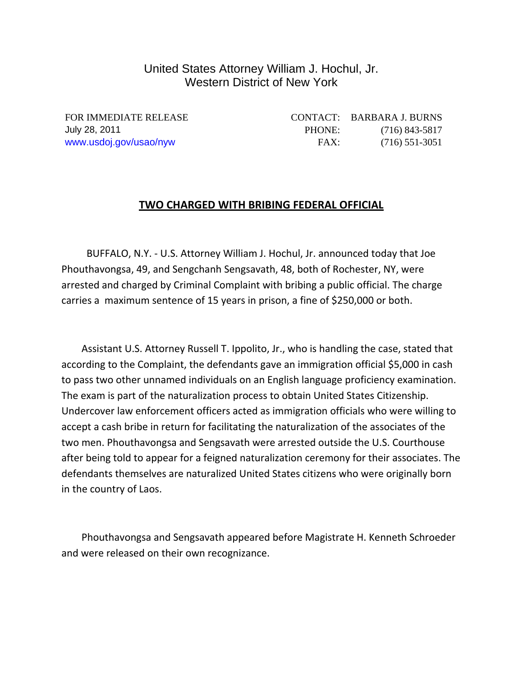## United States Attorney William J. Hochul, Jr. Western District of New York

FOR IMMEDIATE RELEASE CONTACT: BARBARA J. BURNS July 28, 2011 PHONE: (716) 843-5817 www.usdoj.gov/usao/nyw FAX: (716) 551-3051

## **TWO CHARGED WITH BRIBING FEDERAL OFFICIAL**

 BUFFALO, N.Y. ‐ U.S. Attorney William J. Hochul, Jr. announced today that Joe Phouthavongsa, 49, and Sengchanh Sengsavath, 48, both of Rochester, NY, were arrested and charged by Criminal Complaint with bribing a public official. The charge carries a maximum sentence of 15 years in prison, a fine of \$250,000 or both.

 Assistant U.S. Attorney Russell T. Ippolito, Jr., who is handling the case, stated that according to the Complaint, the defendants gave an immigration official \$5,000 in cash to pass two other unnamed individuals on an English language proficiency examination. The exam is part of the naturalization process to obtain United States Citizenship. Undercover law enforcement officers acted as immigration officials who were willing to accept a cash bribe in return for facilitating the naturalization of the associates of the two men. Phouthavongsa and Sengsavath were arrested outside the U.S. Courthouse after being told to appear for a feigned naturalization ceremony for their associates. The defendants themselves are naturalized United States citizens who were originally born in the country of Laos.

 Phouthavongsa and Sengsavath appeared before Magistrate H. Kenneth Schroeder and were released on their own recognizance.